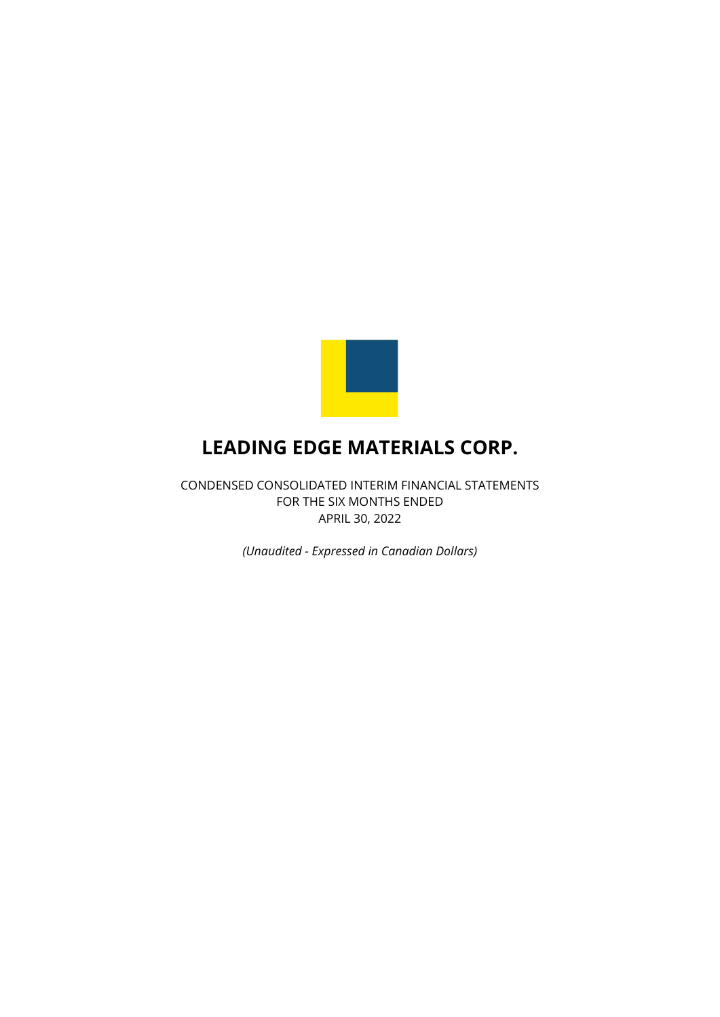

CONDENSED CONSOLIDATED INTERIM FINANCIAL STATEMENTS FOR THE SIX MONTHS ENDED APRIL 30, 2022

*(Unaudited - Expressed in Canadian Dollars)*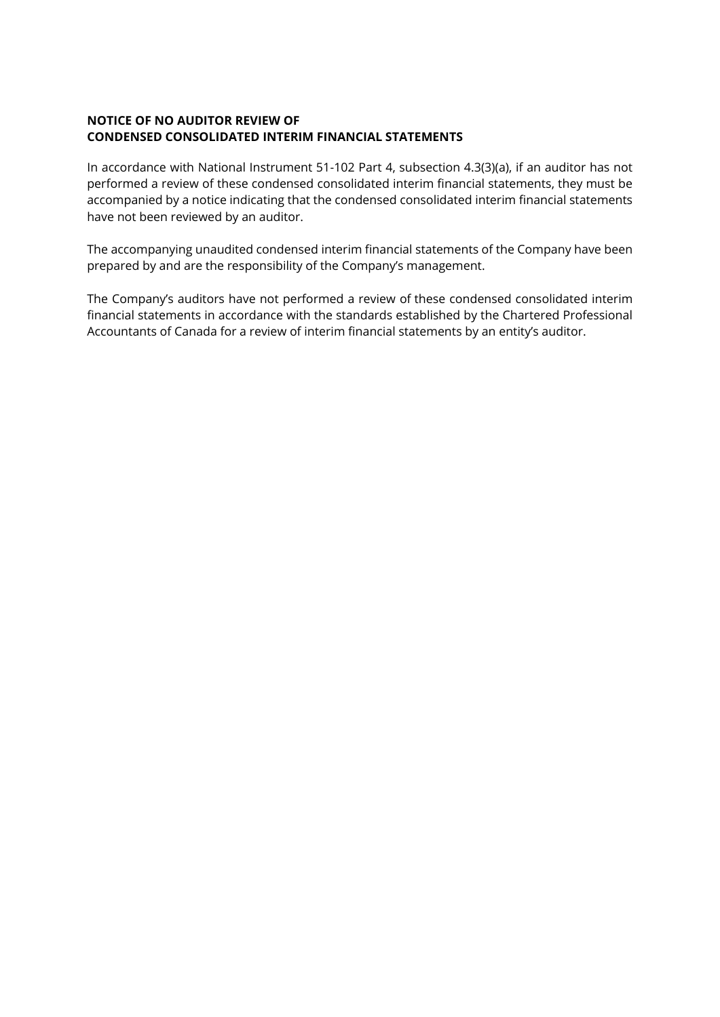## **NOTICE OF NO AUDITOR REVIEW OF CONDENSED CONSOLIDATED INTERIM FINANCIAL STATEMENTS**

In accordance with National Instrument 51-102 Part 4, subsection 4.3(3)(a), if an auditor has not performed a review of these condensed consolidated interim financial statements, they must be accompanied by a notice indicating that the condensed consolidated interim financial statements have not been reviewed by an auditor.

The accompanying unaudited condensed interim financial statements of the Company have been prepared by and are the responsibility of the Company's management.

The Company's auditors have not performed a review of these condensed consolidated interim financial statements in accordance with the standards established by the Chartered Professional Accountants of Canada for a review of interim financial statements by an entity's auditor.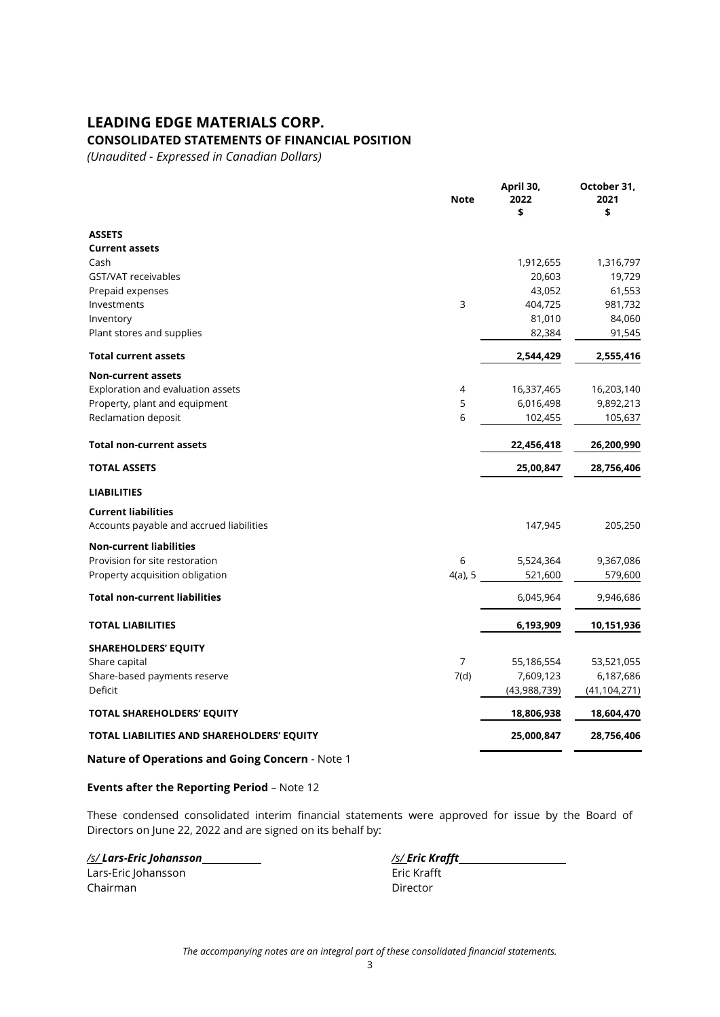### **CONSOLIDATED STATEMENTS OF FINANCIAL POSITION**

*(Unaudited - Expressed in Canadian Dollars)*

|                                            | <b>Note</b>    | April 30,<br>2022<br>\$ | October 31,<br>2021<br>\$ |
|--------------------------------------------|----------------|-------------------------|---------------------------|
| <b>ASSETS</b>                              |                |                         |                           |
| <b>Current assets</b>                      |                |                         |                           |
| Cash                                       |                | 1,912,655               | 1,316,797                 |
| GST/VAT receivables                        |                | 20,603                  | 19,729                    |
| Prepaid expenses                           |                | 43,052                  | 61,553                    |
| Investments                                | 3              | 404,725                 | 981,732                   |
| Inventory                                  |                | 81,010                  | 84,060                    |
| Plant stores and supplies                  |                | 82,384                  | 91,545                    |
| <b>Total current assets</b>                |                | 2,544,429               | 2,555,416                 |
| <b>Non-current assets</b>                  |                |                         |                           |
| Exploration and evaluation assets          | 4              | 16,337,465              | 16,203,140                |
| Property, plant and equipment              | 5              | 6,016,498               | 9,892,213                 |
| Reclamation deposit                        | 6              | 102,455                 | 105,637                   |
| <b>Total non-current assets</b>            |                | 22,456,418              | 26,200,990                |
| <b>TOTAL ASSETS</b>                        |                | 25,00,847               | 28,756,406                |
| <b>LIABILITIES</b>                         |                |                         |                           |
| <b>Current liabilities</b>                 |                |                         |                           |
| Accounts payable and accrued liabilities   |                | 147,945                 | 205,250                   |
| <b>Non-current liabilities</b>             |                |                         |                           |
| Provision for site restoration             | 6              | 5,524,364               | 9,367,086                 |
| Property acquisition obligation            | $4(a)$ , 5     | 521,600                 | 579,600                   |
| <b>Total non-current liabilities</b>       |                | 6,045,964               | 9,946,686                 |
| <b>TOTAL LIABILITIES</b>                   |                | 6,193,909               | 10,151,936                |
| <b>SHAREHOLDERS' EQUITY</b>                |                |                         |                           |
| Share capital                              | $\overline{7}$ | 55,186,554              | 53,521,055                |
| Share-based payments reserve               | 7(d)           | 7,609,123               | 6,187,686                 |
| Deficit                                    |                | (43,988,739)            | (41, 104, 271)            |
| <b>TOTAL SHAREHOLDERS' EQUITY</b>          |                | 18,806,938              | 18,604,470                |
| TOTAL LIABILITIES AND SHAREHOLDERS' EQUITY |                | 25,000,847              | 28,756,406                |
|                                            |                |                         |                           |

**Nature of Operations and Going Concern** - Note 1

### **Events after the Reporting Period** – Note 12

These condensed consolidated interim financial statements were approved for issue by the Board of Directors on June 22, 2022 and are signed on its behalf by:

Lars-Eric Johansson Eric Krafft Chairman Director

*/s/ Lars-Eric Johansson /s/ Eric Krafft*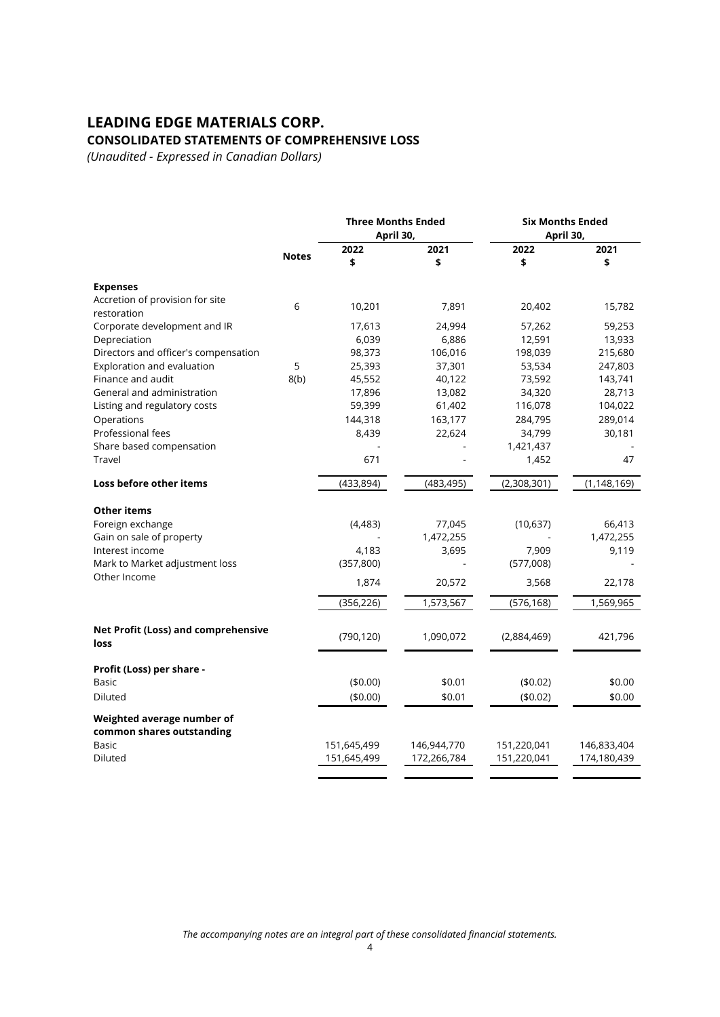# **LEADING EDGE MATERIALS CORP. CONSOLIDATED STATEMENTS OF COMPREHENSIVE LOSS**

*(Unaudited - Expressed in Canadian Dollars)*

|                                                         |              | <b>Three Months Ended</b><br>April 30, |             |             | <b>Six Months Ended</b><br>April 30, |  |
|---------------------------------------------------------|--------------|----------------------------------------|-------------|-------------|--------------------------------------|--|
|                                                         | <b>Notes</b> | 2022<br>\$                             | 2021<br>\$  | 2022<br>\$  | 2021<br>\$                           |  |
| <b>Expenses</b>                                         |              |                                        |             |             |                                      |  |
| Accretion of provision for site<br>restoration          | 6            | 10,201                                 | 7,891       | 20,402      | 15,782                               |  |
| Corporate development and IR                            |              | 17,613                                 | 24,994      | 57,262      | 59,253                               |  |
| Depreciation                                            |              | 6,039                                  | 6,886       | 12,591      | 13,933                               |  |
| Directors and officer's compensation                    |              | 98,373                                 | 106,016     | 198,039     | 215,680                              |  |
| Exploration and evaluation                              | 5            | 25,393                                 | 37,301      | 53,534      | 247,803                              |  |
| Finance and audit                                       | 8(b)         | 45,552                                 | 40,122      | 73,592      | 143,741                              |  |
| General and administration                              |              | 17,896                                 | 13,082      | 34,320      | 28,713                               |  |
| Listing and regulatory costs                            |              | 59,399                                 | 61,402      | 116,078     | 104,022                              |  |
| Operations                                              |              | 144,318                                | 163,177     | 284,795     | 289,014                              |  |
| Professional fees                                       |              | 8,439                                  | 22,624      | 34,799      | 30,181                               |  |
| Share based compensation                                |              |                                        |             | 1,421,437   |                                      |  |
| Travel                                                  |              | 671                                    |             | 1,452       | 47                                   |  |
| Loss before other items                                 |              | (433, 894)                             | (483, 495)  | (2,308,301) | (1, 148, 169)                        |  |
| <b>Other items</b>                                      |              |                                        |             |             |                                      |  |
| Foreign exchange                                        |              | (4, 483)                               | 77,045      | (10,637)    | 66,413                               |  |
| Gain on sale of property                                |              |                                        | 1,472,255   |             | 1,472,255                            |  |
| Interest income                                         |              | 4,183                                  | 3,695       | 7,909       | 9,119                                |  |
| Mark to Market adjustment loss                          |              | (357, 800)                             |             | (577,008)   |                                      |  |
| Other Income                                            |              | 1,874                                  | 20,572      | 3,568       | 22,178                               |  |
|                                                         |              | (356, 226)                             | 1,573,567   | (576, 168)  | 1,569,965                            |  |
| Net Profit (Loss) and comprehensive<br>loss             |              | (790, 120)                             | 1,090,072   | (2,884,469) | 421,796                              |  |
| Profit (Loss) per share -                               |              |                                        |             |             |                                      |  |
| Basic                                                   |              | (\$0.00)                               | \$0.01      | (\$0.02)    | \$0.00                               |  |
| Diluted                                                 |              | (\$0.00)                               | \$0.01      | (\$0.02)    | \$0.00                               |  |
| Weighted average number of<br>common shares outstanding |              |                                        |             |             |                                      |  |
| Basic                                                   |              | 151,645,499                            | 146,944,770 | 151,220,041 | 146,833,404                          |  |
| Diluted                                                 |              | 151,645,499                            | 172,266,784 | 151,220,041 | 174,180,439                          |  |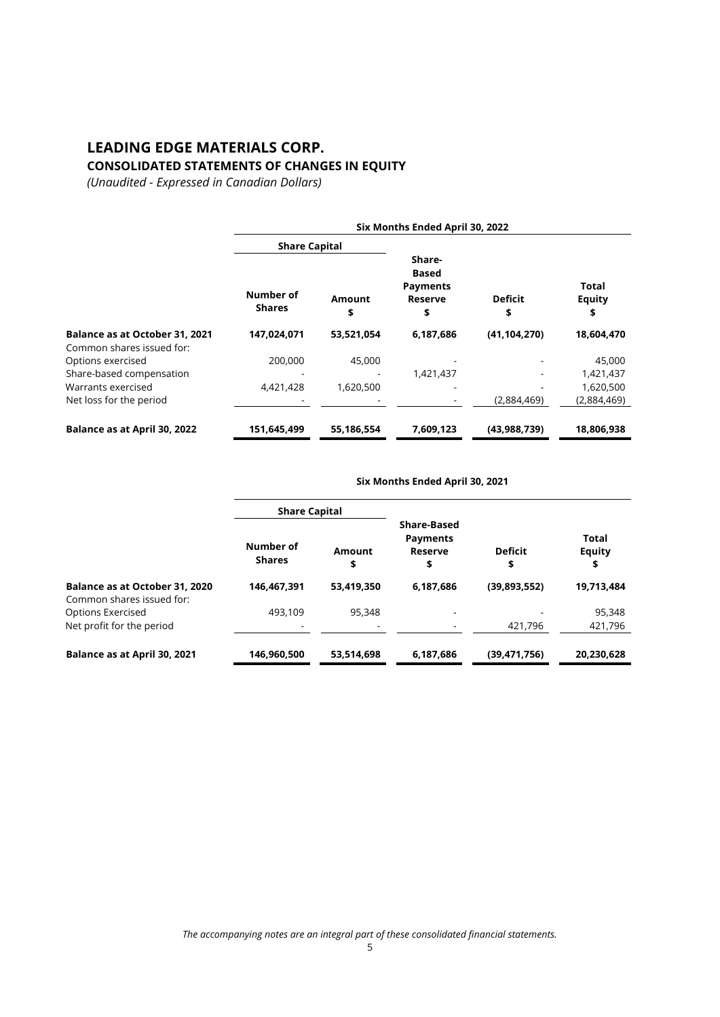## **LEADING EDGE MATERIALS CORP. CONSOLIDATED STATEMENTS OF CHANGES IN EQUITY**

*(Unaudited - Expressed in Canadian Dollars)*

|                                                             | Six Months Ended April 30, 2022 |              |                                                            |                      |                              |  |
|-------------------------------------------------------------|---------------------------------|--------------|------------------------------------------------------------|----------------------|------------------------------|--|
|                                                             | <b>Share Capital</b>            |              |                                                            |                      |                              |  |
|                                                             | Number of<br><b>Shares</b>      | Amount<br>\$ | Share-<br>Based<br><b>Payments</b><br><b>Reserve</b><br>\$ | <b>Deficit</b><br>\$ | Total<br><b>Equity</b><br>\$ |  |
| Balance as at October 31, 2021<br>Common shares issued for: | 147,024,071                     | 53,521,054   | 6,187,686                                                  | (41, 104, 270)       | 18,604,470                   |  |
| Options exercised                                           | 200,000                         | 45,000       |                                                            |                      | 45,000                       |  |
| Share-based compensation                                    |                                 |              | 1,421,437                                                  |                      | 1,421,437                    |  |
| Warrants exercised                                          | 4,421,428                       | 1,620,500    |                                                            |                      | 1,620,500                    |  |
| Net loss for the period                                     |                                 |              |                                                            | (2,884,469)          | (2,884,469)                  |  |
| Balance as at April 30, 2022                                | 151,645,499                     | 55,186,554   | 7,609,123                                                  | (43,988,739)         | 18,806,938                   |  |

### **Six Months Ended April 30, 2021**

|                                                             | <b>Share Capital</b>       |              |                                                        |                      |                              |
|-------------------------------------------------------------|----------------------------|--------------|--------------------------------------------------------|----------------------|------------------------------|
|                                                             | Number of<br><b>Shares</b> | Amount<br>\$ | <b>Share-Based</b><br><b>Payments</b><br>Reserve<br>\$ | <b>Deficit</b><br>\$ | Total<br><b>Equity</b><br>\$ |
| Balance as at October 31, 2020<br>Common shares issued for: | 146,467,391                | 53,419,350   | 6,187,686                                              | (39,893,552)         | 19,713,484                   |
| <b>Options Exercised</b>                                    | 493,109                    | 95,348       |                                                        |                      | 95,348                       |
| Net profit for the period                                   |                            |              |                                                        | 421,796              | 421,796                      |
| Balance as at April 30, 2021                                | 146,960,500                | 53,514,698   | 6,187,686                                              | (39, 471, 756)       | 20,230,628                   |

*The accompanying notes are an integral part of these consolidated financial statements.*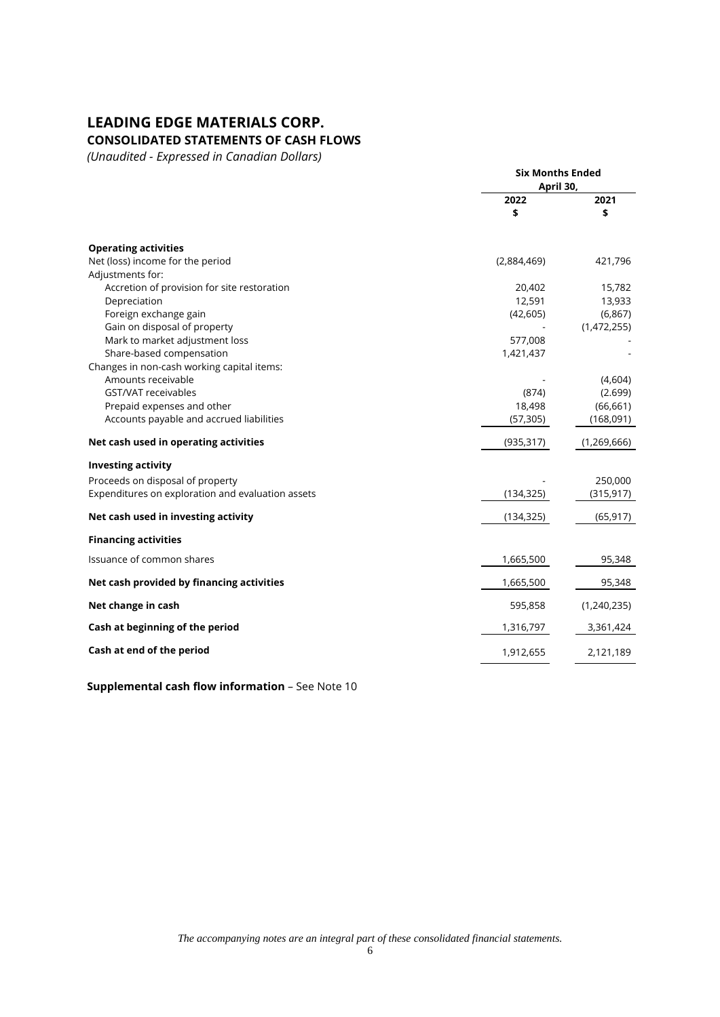# **CONSOLIDATED STATEMENTS OF CASH FLOWS**

*(Unaudited - Expressed in Canadian Dollars)*

|                                                   | <b>Six Months Ended</b><br>April 30, |             |
|---------------------------------------------------|--------------------------------------|-------------|
|                                                   | 2022<br>\$                           | 2021<br>\$  |
| <b>Operating activities</b>                       |                                      |             |
| Net (loss) income for the period                  | (2,884,469)                          | 421,796     |
| Adjustments for:                                  |                                      |             |
| Accretion of provision for site restoration       | 20,402                               | 15,782      |
| Depreciation                                      | 12,591                               | 13,933      |
| Foreign exchange gain                             | (42, 605)                            | (6, 867)    |
| Gain on disposal of property                      |                                      | (1,472,255) |
| Mark to market adjustment loss                    | 577,008                              |             |
| Share-based compensation                          | 1,421,437                            |             |
| Changes in non-cash working capital items:        |                                      |             |
| Amounts receivable                                |                                      | (4,604)     |
| GST/VAT receivables                               | (874)                                | (2.699)     |
| Prepaid expenses and other                        | 18,498                               | (66, 661)   |
| Accounts payable and accrued liabilities          | (57, 305)                            | (168,091)   |
| Net cash used in operating activities             | (935, 317)                           | (1,269,666) |
| <b>Investing activity</b>                         |                                      |             |
| Proceeds on disposal of property                  |                                      | 250,000     |
| Expenditures on exploration and evaluation assets | (134, 325)                           | (315, 917)  |
| Net cash used in investing activity               | (134, 325)                           | (65, 917)   |
| <b>Financing activities</b>                       |                                      |             |
| Issuance of common shares                         | 1,665,500                            | 95,348      |
| Net cash provided by financing activities         | 1,665,500                            | 95,348      |
| Net change in cash                                | 595,858                              | (1,240,235) |
| Cash at beginning of the period                   | 1,316,797                            | 3,361,424   |
| Cash at end of the period                         | 1,912,655                            | 2,121,189   |

**Supplemental cash flow information - See Note 10** 

*The accompanying notes are an integral part of these consolidated financial statements.*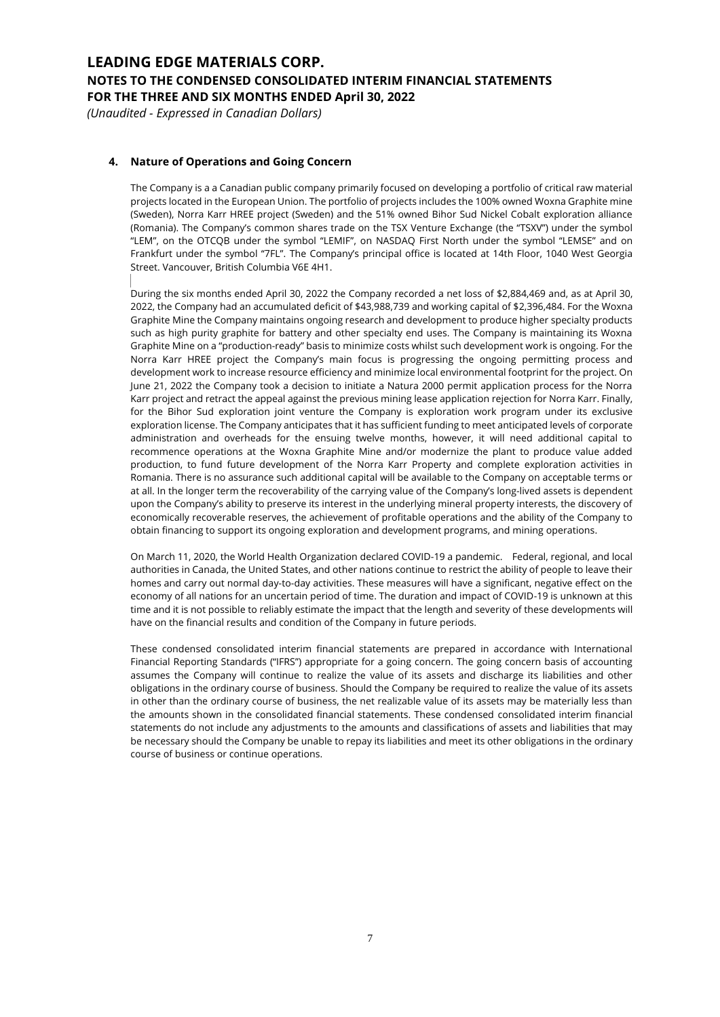*(Unaudited - Expressed in Canadian Dollars)*

### **4. Nature of Operations and Going Concern**

The Company is a a Canadian public company primarily focused on developing a portfolio of critical raw material projects located in the European Union. The portfolio of projects includes the 100% owned Woxna Graphite mine (Sweden), Norra Karr HREE project (Sweden) and the 51% owned Bihor Sud Nickel Cobalt exploration alliance (Romania). The Company's common shares trade on the TSX Venture Exchange (the "TSXV") under the symbol "LEM", on the OTCQB under the symbol "LEMIF", on NASDAQ First North under the symbol "LEMSE" and on Frankfurt under the symbol "7FL". The Company's principal office is located at 14th Floor, 1040 West Georgia Street. Vancouver, British Columbia V6E 4H1.

During the six months ended April 30, 2022 the Company recorded a net loss of \$2,884,469 and, as at April 30, 2022, the Company had an accumulated deficit of \$43,988,739 and working capital of \$2,396,484. For the Woxna Graphite Mine the Company maintains ongoing research and development to produce higher specialty products such as high purity graphite for battery and other specialty end uses. The Company is maintaining its Woxna Graphite Mine on a "production-ready" basis to minimize costs whilst such development work is ongoing. For the Norra Karr HREE project the Company's main focus is progressing the ongoing permitting process and development work to increase resource efficiency and minimize local environmental footprint for the project. On June 21, 2022 the Company took a decision to initiate a Natura 2000 permit application process for the Norra Karr project and retract the appeal against the previous mining lease application rejection for Norra Karr. Finally, for the Bihor Sud exploration joint venture the Company is exploration work program under its exclusive exploration license. The Company anticipates that it has sufficient funding to meet anticipated levels of corporate administration and overheads for the ensuing twelve months, however, it will need additional capital to recommence operations at the Woxna Graphite Mine and/or modernize the plant to produce value added production, to fund future development of the Norra Karr Property and complete exploration activities in Romania. There is no assurance such additional capital will be available to the Company on acceptable terms or at all. In the longer term the recoverability of the carrying value of the Company's long-lived assets is dependent upon the Company's ability to preserve its interest in the underlying mineral property interests, the discovery of economically recoverable reserves, the achievement of profitable operations and the ability of the Company to obtain financing to support its ongoing exploration and development programs, and mining operations.

On March 11, 2020, the World Health Organization declared COVID-19 a pandemic. Federal, regional, and local authorities in Canada, the United States, and other nations continue to restrict the ability of people to leave their homes and carry out normal day-to-day activities. These measures will have a significant, negative effect on the economy of all nations for an uncertain period of time. The duration and impact of COVID-19 is unknown at this time and it is not possible to reliably estimate the impact that the length and severity of these developments will have on the financial results and condition of the Company in future periods.

These condensed consolidated interim financial statements are prepared in accordance with International Financial Reporting Standards ("IFRS") appropriate for a going concern. The going concern basis of accounting assumes the Company will continue to realize the value of its assets and discharge its liabilities and other obligations in the ordinary course of business. Should the Company be required to realize the value of its assets in other than the ordinary course of business, the net realizable value of its assets may be materially less than the amounts shown in the consolidated financial statements. These condensed consolidated interim financial statements do not include any adjustments to the amounts and classifications of assets and liabilities that may be necessary should the Company be unable to repay its liabilities and meet its other obligations in the ordinary course of business or continue operations.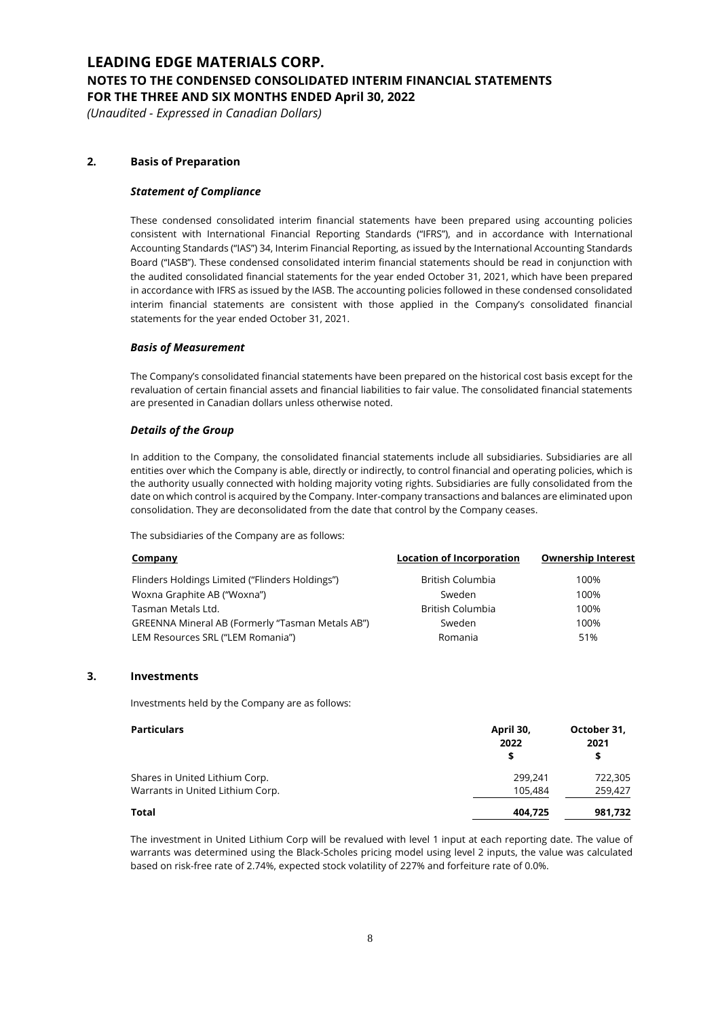*(Unaudited - Expressed in Canadian Dollars)*

### **2. Basis of Preparation**

### *Statement of Compliance*

These condensed consolidated interim financial statements have been prepared using accounting policies consistent with International Financial Reporting Standards ("IFRS"), and in accordance with International Accounting Standards ("IAS") 34, Interim Financial Reporting, as issued by the International Accounting Standards Board ("IASB"). These condensed consolidated interim financial statements should be read in conjunction with the audited consolidated financial statements for the year ended October 31, 2021, which have been prepared in accordance with IFRS as issued by the IASB. The accounting policies followed in these condensed consolidated interim financial statements are consistent with those applied in the Company's consolidated financial statements for the year ended October 31, 2021.

#### *Basis of Measurement*

The Company's consolidated financial statements have been prepared on the historical cost basis except for the revaluation of certain financial assets and financial liabilities to fair value. The consolidated financial statements are presented in Canadian dollars unless otherwise noted.

#### *Details of the Group*

In addition to the Company, the consolidated financial statements include all subsidiaries. Subsidiaries are all entities over which the Company is able, directly or indirectly, to control financial and operating policies, which is the authority usually connected with holding majority voting rights. Subsidiaries are fully consolidated from the date on which control is acquired by the Company. Inter-company transactions and balances are eliminated upon consolidation. They are deconsolidated from the date that control by the Company ceases.

The subsidiaries of the Company are as follows:

| <b>Company</b>                                   | <b>Location of Incorporation</b> | <b>Ownership Interest</b> |
|--------------------------------------------------|----------------------------------|---------------------------|
| Flinders Holdings Limited ("Flinders Holdings")  | British Columbia                 | 100%                      |
| Woxna Graphite AB ("Woxna")                      | Sweden                           | 100%                      |
| Tasman Metals Ltd.                               | British Columbia                 | 100%                      |
| GREENNA Mineral AB (Formerly "Tasman Metals AB") | Sweden                           | 100%                      |
| LEM Resources SRL ("LEM Romania")                | Romania                          | 51%                       |
|                                                  |                                  |                           |

### **3. Investments**

Investments held by the Company are as follows:

| <b>Particulars</b>               | April 30,<br>2022 | October 31,<br>2021 |  |
|----------------------------------|-------------------|---------------------|--|
|                                  | S                 | \$                  |  |
| Shares in United Lithium Corp.   | 299.241           | 722,305             |  |
| Warrants in United Lithium Corp. | 105,484           | 259,427             |  |
| Total                            | 404.725           | 981,732             |  |

The investment in United Lithium Corp will be revalued with level 1 input at each reporting date. The value of warrants was determined using the Black-Scholes pricing model using level 2 inputs, the value was calculated based on risk-free rate of 2.74%, expected stock volatility of 227% and forfeiture rate of 0.0%.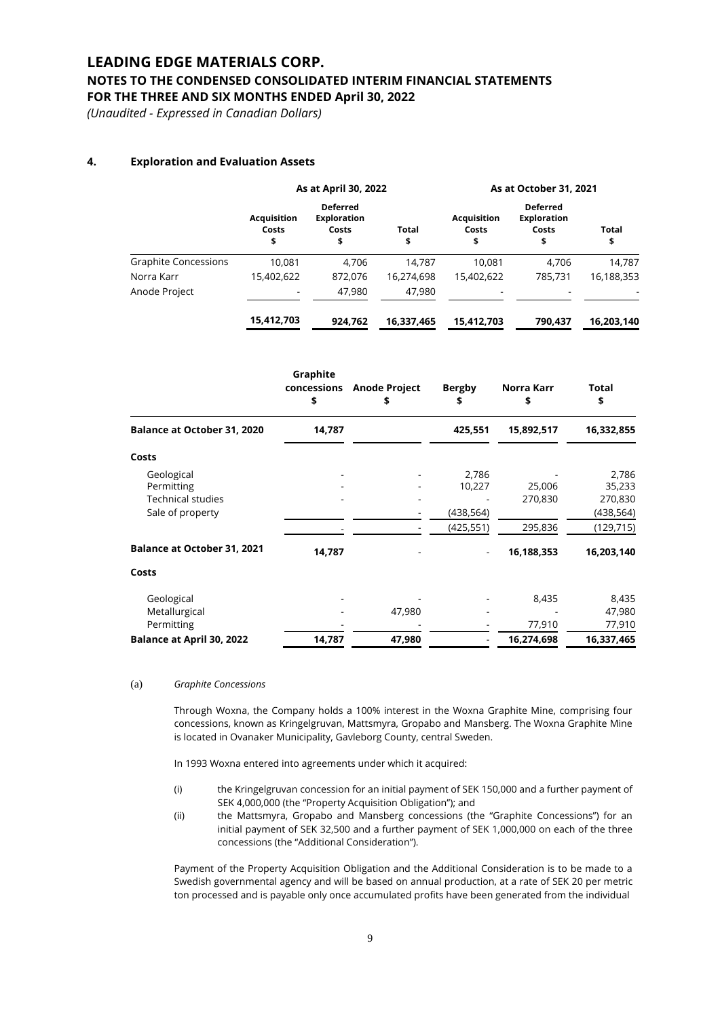### **NOTES TO THE CONDENSED CONSOLIDATED INTERIM FINANCIAL STATEMENTS FOR THE THREE AND SIX MONTHS ENDED April 30, 2022**

*(Unaudited - Expressed in Canadian Dollars)*

### **4. Exploration and Evaluation Assets**

|                             | As at April 30, 2022              |                                                      |             | As at October 31, 2021            |                                                      |                    |  |
|-----------------------------|-----------------------------------|------------------------------------------------------|-------------|-----------------------------------|------------------------------------------------------|--------------------|--|
|                             | <b>Acquisition</b><br>Costs<br>\$ | <b>Deferred</b><br><b>Exploration</b><br>Costs<br>\$ | Total<br>\$ | <b>Acquisition</b><br>Costs<br>\$ | <b>Deferred</b><br><b>Exploration</b><br>Costs<br>\$ | <b>Total</b><br>\$ |  |
| <b>Graphite Concessions</b> | 10.081                            | 4.706                                                | 14.787      | 10.081                            | 4.706                                                | 14,787             |  |
| Norra Karr                  | 15,402,622                        | 872.076                                              | 16.274.698  | 15,402,622                        | 785.731                                              | 16,188,353         |  |
| Anode Project               |                                   | 47,980                                               | 47,980      |                                   |                                                      |                    |  |
|                             | 15,412,703                        | 924,762                                              | 16,337,465  | 15,412,703                        | 790,437                                              | 16,203,140         |  |

|                                    | Graphite<br>concessions<br>\$ | <b>Anode Project</b><br>\$ | <b>Bergby</b><br>\$ | Norra Karr<br>\$ | Total<br>\$ |
|------------------------------------|-------------------------------|----------------------------|---------------------|------------------|-------------|
| <b>Balance at October 31, 2020</b> | 14,787                        |                            | 425,551             | 15,892,517       | 16,332,855  |
| Costs                              |                               |                            |                     |                  |             |
| Geological                         |                               |                            | 2,786               |                  | 2,786       |
| Permitting                         |                               |                            | 10,227              | 25,006           | 35,233      |
| <b>Technical studies</b>           |                               |                            |                     | 270,830          | 270,830     |
| Sale of property                   |                               |                            | (438,564)           |                  | (438,564)   |
|                                    |                               |                            | (425, 551)          | 295,836          | (129, 715)  |
| <b>Balance at October 31, 2021</b> | 14,787                        |                            |                     | 16,188,353       | 16,203,140  |
| Costs                              |                               |                            |                     |                  |             |
| Geological                         |                               |                            |                     | 8,435            | 8,435       |
| Metallurgical                      |                               | 47,980                     |                     |                  | 47,980      |
| Permitting                         |                               |                            |                     | 77,910           | 77,910      |
| Balance at April 30, 2022          | 14,787                        | 47,980                     |                     | 16,274,698       | 16,337,465  |

#### (a) *Graphite Concessions*

Through Woxna, the Company holds a 100% interest in the Woxna Graphite Mine, comprising four concessions, known as Kringelgruvan, Mattsmyra, Gropabo and Mansberg. The Woxna Graphite Mine is located in Ovanaker Municipality, Gavleborg County, central Sweden.

In 1993 Woxna entered into agreements under which it acquired:

- (i) the Kringelgruvan concession for an initial payment of SEK 150,000 and a further payment of SEK 4,000,000 (the "Property Acquisition Obligation"); and
- (ii) the Mattsmyra, Gropabo and Mansberg concessions (the "Graphite Concessions") for an initial payment of SEK 32,500 and a further payment of SEK 1,000,000 on each of the three concessions (the "Additional Consideration").

Payment of the Property Acquisition Obligation and the Additional Consideration is to be made to a Swedish governmental agency and will be based on annual production, at a rate of SEK 20 per metric ton processed and is payable only once accumulated profits have been generated from the individual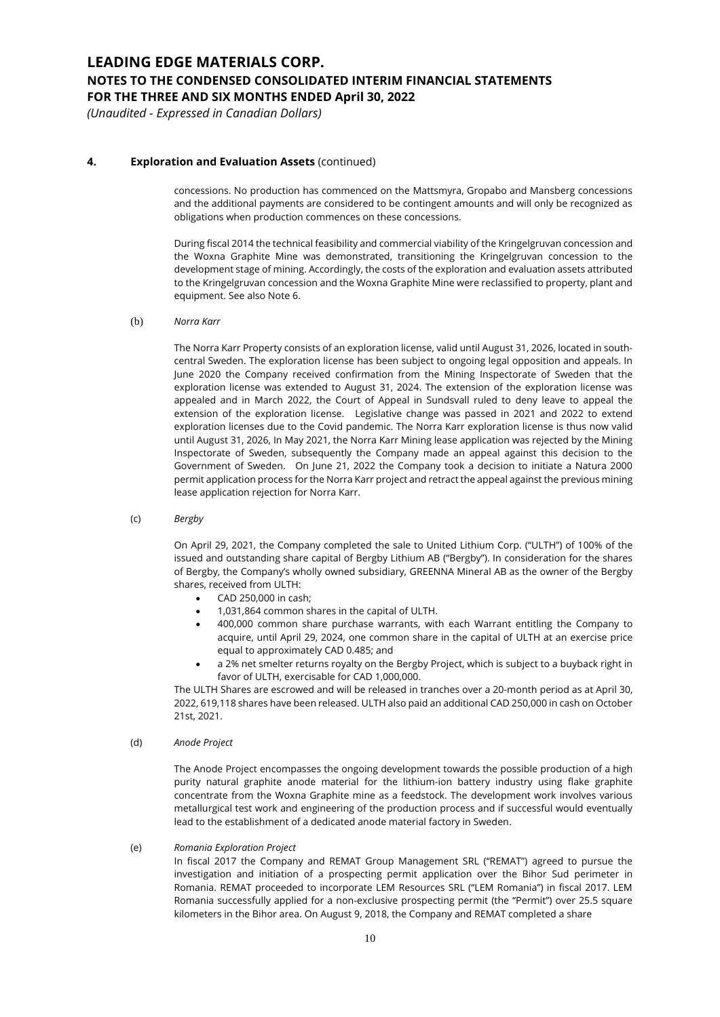*(Unaudited - Expressed in Canadian Dollars)*

### **4. Exploration and Evaluation Assets** (continued)

concessions. No production has commenced on the Mattsmyra, Gropabo and Mansberg concessions and the additional payments are considered to be contingent amounts and will only be recognized as obligations when production commences on these concessions.

During fiscal 2014 the technical feasibility and commercial viability of the Kringelgruvan concession and the Woxna Graphite Mine was demonstrated, transitioning the Kringelgruvan concession to the development stage of mining. Accordingly, the costs of the exploration and evaluation assets attributed to the Kringelgruvan concession and the Woxna Graphite Mine were reclassified to property, plant and equipment. See also Note 6.

(b) *Norra Karr*

The Norra Karr Property consists of an exploration license, valid until August 31, 2026, located in southcentral Sweden. The exploration license has been subject to ongoing legal opposition and appeals. In June 2020 the Company received confirmation from the Mining Inspectorate of Sweden that the exploration license was extended to August 31, 2024. The extension of the exploration license was appealed and in March 2022, the Court of Appeal in Sundsvall ruled to deny leave to appeal the extension of the exploration license. Legislative change was passed in 2021 and 2022 to extend exploration licenses due to the Covid pandemic. The Norra Karr exploration license is thus now valid until August 31, 2026, In May 2021, the Norra Karr Mining lease application was rejected by the Mining Inspectorate of Sweden, subsequently the Company made an appeal against this decision to the Government of Sweden. On June 21, 2022 the Company took a decision to initiate a Natura 2000 permit application process for the Norra Karr project and retract the appeal against the previous mining lease application rejection for Norra Karr.

(c) *Bergby*

On April 29, 2021, the Company completed the sale to United Lithium Corp. ("ULTH") of 100% of the issued and outstanding share capital of Bergby Lithium AB ("Bergby"). In consideration for the shares of Bergby, the Company's wholly owned subsidiary, GREENNA Mineral AB as the owner of the Bergby shares, received from ULTH:

- CAD 250,000 in cash;
- 1,031,864 common shares in the capital of ULTH.
- 400,000 common share purchase warrants, with each Warrant entitling the Company to acquire, until April 29, 2024, one common share in the capital of ULTH at an exercise price equal to approximately CAD 0.485; and
- a 2% net smelter returns royalty on the Bergby Project, which is subject to a buyback right in favor of ULTH, exercisable for CAD 1,000,000.

The ULTH Shares are escrowed and will be released in tranches over a 20-month period as at April 30, 2022, 619,118 shares have been released. ULTH also paid an additional CAD 250,000 in cash on October 21st, 2021.

(d) *Anode Project*

The Anode Project encompasses the ongoing development towards the possible production of a high purity natural graphite anode material for the lithium-ion battery industry using flake graphite concentrate from the Woxna Graphite mine as a feedstock. The development work involves various metallurgical test work and engineering of the production process and if successful would eventually lead to the establishment of a dedicated anode material factory in Sweden.

#### (e) *Romania Exploration Project*

In fiscal 2017 the Company and REMAT Group Management SRL ("REMAT") agreed to pursue the investigation and initiation of a prospecting permit application over the Bihor Sud perimeter in Romania. REMAT proceeded to incorporate LEM Resources SRL ("LEM Romania") in fiscal 2017. LEM Romania successfully applied for a non-exclusive prospecting permit (the "Permit") over 25.5 square kilometers in the Bihor area. On August 9, 2018, the Company and REMAT completed a share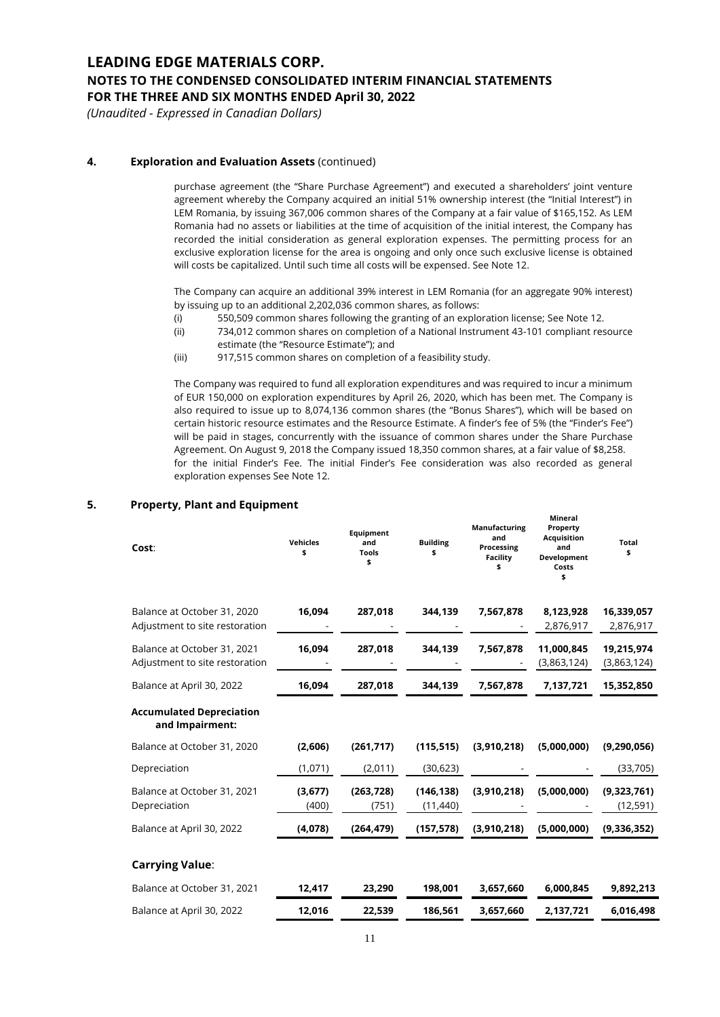### **NOTES TO THE CONDENSED CONSOLIDATED INTERIM FINANCIAL STATEMENTS FOR THE THREE AND SIX MONTHS ENDED April 30, 2022**

*(Unaudited - Expressed in Canadian Dollars)*

### **4. Exploration and Evaluation Assets** (continued)

purchase agreement (the "Share Purchase Agreement") and executed a shareholders' joint venture agreement whereby the Company acquired an initial 51% ownership interest (the "Initial Interest") in LEM Romania, by issuing 367,006 common shares of the Company at a fair value of \$165,152. As LEM Romania had no assets or liabilities at the time of acquisition of the initial interest, the Company has recorded the initial consideration as general exploration expenses. The permitting process for an exclusive exploration license for the area is ongoing and only once such exclusive license is obtained will costs be capitalized. Until such time all costs will be expensed. See Note 12.

The Company can acquire an additional 39% interest in LEM Romania (for an aggregate 90% interest) by issuing up to an additional 2,202,036 common shares, as follows:

- (i) 550,509 common shares following the granting of an exploration license; See Note 12.
- (ii) 734,012 common shares on completion of a National Instrument 43-101 compliant resource estimate (the "Resource Estimate"); and
- (iii) 917,515 common shares on completion of a feasibility study.

The Company was required to fund all exploration expenditures and was required to incur a minimum of EUR 150,000 on exploration expenditures by April 26, 2020, which has been met. The Company is also required to issue up to 8,074,136 common shares (the "Bonus Shares"), which will be based on certain historic resource estimates and the Resource Estimate. A finder's fee of 5% (the "Finder's Fee") will be paid in stages, concurrently with the issuance of common shares under the Share Purchase Agreement. On August 9, 2018 the Company issued 18,350 common shares, at a fair value of \$8,258. for the initial Finder's Fee. The initial Finder's Fee consideration was also recorded as general exploration expenses See Note 12.

**Mineral**

### **5. Property, Plant and Equipment**

| Cost:                                                         | <b>Vehicles</b><br>\$ | Equipment<br>and<br>Tools<br>\$ | <b>Building</b><br>\$   | and<br>Processing<br><b>Facility</b><br>\$ | <b>Acquisition</b><br>and<br>Development<br>Costs<br>\$ | <b>Total</b><br>\$        |
|---------------------------------------------------------------|-----------------------|---------------------------------|-------------------------|--------------------------------------------|---------------------------------------------------------|---------------------------|
| Balance at October 31, 2020<br>Adjustment to site restoration | 16,094                | 287,018                         | 344,139                 | 7,567,878                                  | 8,123,928<br>2,876,917                                  | 16,339,057<br>2,876,917   |
| Balance at October 31, 2021<br>Adjustment to site restoration | 16,094                | 287,018                         | 344,139                 | 7,567,878                                  | 11,000,845<br>(3,863,124)                               | 19,215,974<br>(3,863,124) |
| Balance at April 30, 2022                                     | 16,094                | 287,018                         | 344,139                 | 7,567,878                                  | 7,137,721                                               | 15,352,850                |
| <b>Accumulated Depreciation</b><br>and Impairment:            |                       |                                 |                         |                                            |                                                         |                           |
| Balance at October 31, 2020                                   | (2,606)               | (261,717)                       | (115, 515)              | (3,910,218)                                | (5,000,000)                                             | (9,290,056)               |
| Depreciation                                                  | (1,071)               | (2,011)                         | (30, 623)               |                                            |                                                         | (33,705)                  |
| Balance at October 31, 2021<br>Depreciation                   | (3,677)<br>(400)      | (263, 728)<br>(751)             | (146, 138)<br>(11, 440) | (3,910,218)                                | (5,000,000)                                             | (9,323,761)<br>(12, 591)  |
| Balance at April 30, 2022                                     | (4,078)               | (264, 479)                      | (157, 578)              | (3,910,218)                                | (5,000,000)                                             | (9,336,352)               |
| <b>Carrying Value:</b>                                        |                       |                                 |                         |                                            |                                                         |                           |
| Balance at October 31, 2021                                   | 12,417                | 23,290                          | 198,001                 | 3,657,660                                  | 6,000,845                                               | 9,892,213                 |
| Balance at April 30, 2022                                     | 12,016                | 22,539                          | 186,561                 | 3,657,660                                  | 2,137,721                                               | 6,016,498                 |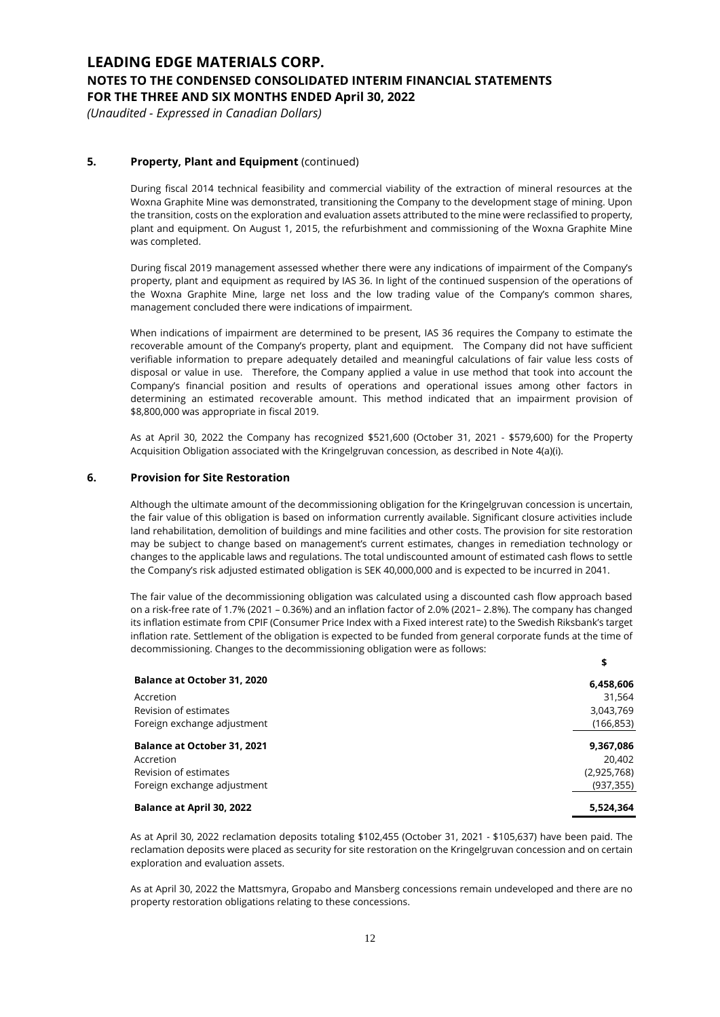*(Unaudited - Expressed in Canadian Dollars)*

### **5. Property, Plant and Equipment** (continued)

During fiscal 2014 technical feasibility and commercial viability of the extraction of mineral resources at the Woxna Graphite Mine was demonstrated, transitioning the Company to the development stage of mining. Upon the transition, costs on the exploration and evaluation assets attributed to the mine were reclassified to property, plant and equipment. On August 1, 2015, the refurbishment and commissioning of the Woxna Graphite Mine was completed.

During fiscal 2019 management assessed whether there were any indications of impairment of the Company's property, plant and equipment as required by IAS 36. In light of the continued suspension of the operations of the Woxna Graphite Mine, large net loss and the low trading value of the Company's common shares, management concluded there were indications of impairment.

When indications of impairment are determined to be present, IAS 36 requires the Company to estimate the recoverable amount of the Company's property, plant and equipment. The Company did not have sufficient verifiable information to prepare adequately detailed and meaningful calculations of fair value less costs of disposal or value in use. Therefore, the Company applied a value in use method that took into account the Company's financial position and results of operations and operational issues among other factors in determining an estimated recoverable amount. This method indicated that an impairment provision of \$8,800,000 was appropriate in fiscal 2019.

As at April 30, 2022 the Company has recognized \$521,600 (October 31, 2021 - \$579,600) for the Property Acquisition Obligation associated with the Kringelgruvan concession, as described in Note 4(a)(i).

#### **6. Provision for Site Restoration**

Although the ultimate amount of the decommissioning obligation for the Kringelgruvan concession is uncertain, the fair value of this obligation is based on information currently available. Significant closure activities include land rehabilitation, demolition of buildings and mine facilities and other costs. The provision for site restoration may be subject to change based on management's current estimates, changes in remediation technology or changes to the applicable laws and regulations. The total undiscounted amount of estimated cash flows to settle the Company's risk adjusted estimated obligation is SEK 40,000,000 and is expected to be incurred in 2041.

The fair value of the decommissioning obligation was calculated using a discounted cash flow approach based on a risk-free rate of 1.7% (2021 – 0.36%) and an inflation factor of 2.0% (2021– 2.8%). The company has changed its inflation estimate from CPIF (Consumer Price Index with a Fixed interest rate) to the Swedish Riksbank's target inflation rate. Settlement of the obligation is expected to be funded from general corporate funds at the time of decommissioning. Changes to the decommissioning obligation were as follows:

**\$**

| <b>Balance at October 31, 2020</b> | 6,458,606   |
|------------------------------------|-------------|
| Accretion                          | 31,564      |
| Revision of estimates              | 3,043,769   |
| Foreign exchange adjustment        | (166, 853)  |
| <b>Balance at October 31, 2021</b> | 9,367,086   |
| Accretion                          | 20.402      |
| Revision of estimates              | (2,925,768) |
| Foreign exchange adjustment        | (937, 355)  |
| <b>Balance at April 30, 2022</b>   | 5.524.364   |

As at April 30, 2022 reclamation deposits totaling \$102,455 (October 31, 2021 - \$105,637) have been paid. The reclamation deposits were placed as security for site restoration on the Kringelgruvan concession and on certain exploration and evaluation assets.

As at April 30, 2022 the Mattsmyra, Gropabo and Mansberg concessions remain undeveloped and there are no property restoration obligations relating to these concessions.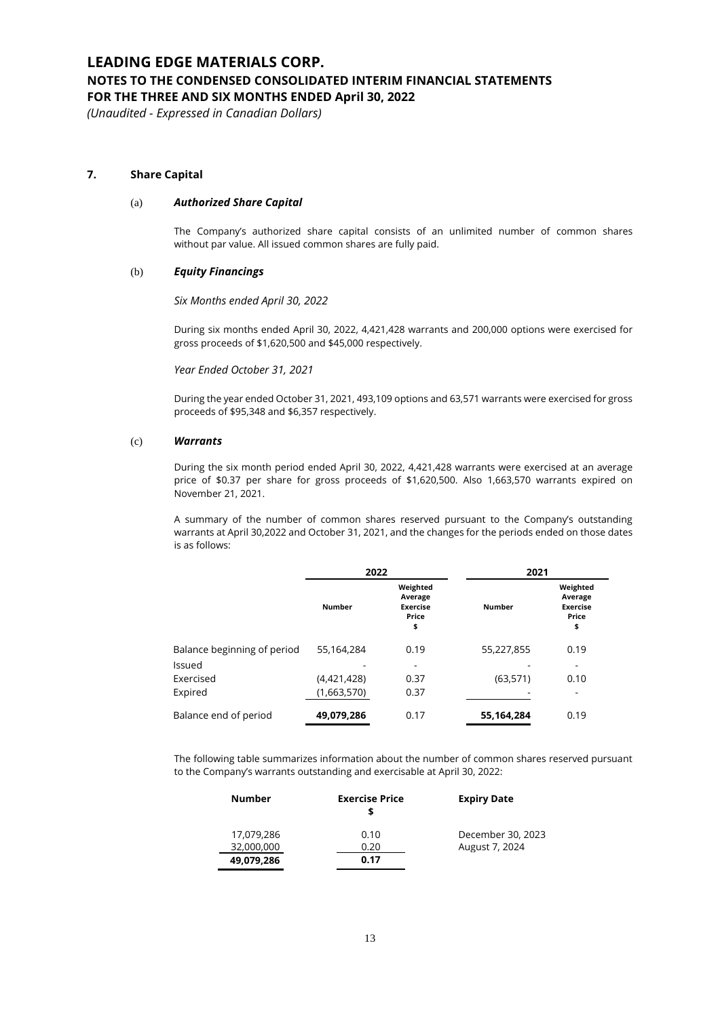# **NOTES TO THE CONDENSED CONSOLIDATED INTERIM FINANCIAL STATEMENTS**

**FOR THE THREE AND SIX MONTHS ENDED April 30, 2022**

*(Unaudited - Expressed in Canadian Dollars)*

### **7. Share Capital**

#### (a) *Authorized Share Capital*

The Company's authorized share capital consists of an unlimited number of common shares without par value. All issued common shares are fully paid.

### (b) *Equity Financings*

*Six Months ended April 30, 2022*

During six months ended April 30, 2022, 4,421,428 warrants and 200,000 options were exercised for gross proceeds of \$1,620,500 and \$45,000 respectively.

*Year Ended October 31, 2021*

During the year ended October 31, 2021, 493,109 options and 63,571 warrants were exercised for gross proceeds of \$95,348 and \$6,357 respectively.

#### (c) *Warrants*

During the six month period ended April 30, 2022, 4,421,428 warrants were exercised at an average price of \$0.37 per share for gross proceeds of \$1,620,500. Also 1,663,570 warrants expired on November 21, 2021.

A summary of the number of common shares reserved pursuant to the Company's outstanding warrants at April 30,2022 and October 31, 2021, and the changes for the periods ended on those dates is as follows:

|                             | 2022          |                                                       | 2021          |                                                       |
|-----------------------------|---------------|-------------------------------------------------------|---------------|-------------------------------------------------------|
|                             | <b>Number</b> | Weighted<br>Average<br><b>Exercise</b><br>Price<br>\$ | <b>Number</b> | Weighted<br>Average<br><b>Exercise</b><br>Price<br>\$ |
| Balance beginning of period | 55,164,284    | 0.19                                                  | 55,227,855    | 0.19                                                  |
| Issued                      |               | ٠                                                     |               |                                                       |
| Exercised                   | (4,421,428)   | 0.37                                                  | (63, 571)     | 0.10                                                  |
| Expired                     | (1,663,570)   | 0.37                                                  |               |                                                       |
| Balance end of period       | 49,079,286    | 0.17                                                  | 55,164,284    | 0.19                                                  |

The following table summarizes information about the number of common shares reserved pursuant to the Company's warrants outstanding and exercisable at April 30, 2022:

| <b>Number</b> | <b>Exercise Price</b> | <b>Expiry Date</b> |
|---------------|-----------------------|--------------------|
| 17.079.286    | 0.10                  | December 30, 2023  |
| 32,000,000    | 0.20                  | August 7, 2024     |
| 49,079,286    | 0.17                  |                    |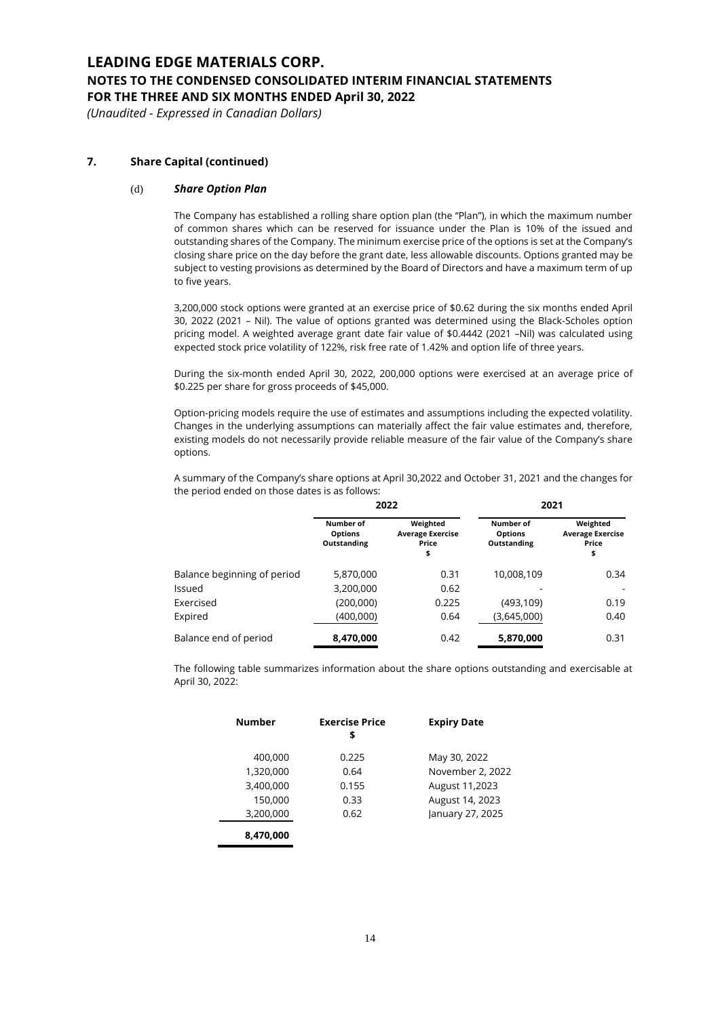# **NOTES TO THE CONDENSED CONSOLIDATED INTERIM FINANCIAL STATEMENTS**

**FOR THE THREE AND SIX MONTHS ENDED April 30, 2022**

*(Unaudited - Expressed in Canadian Dollars)*

### **7. Share Capital (continued)**

#### (d) *Share Option Plan*

The Company has established a rolling share option plan (the "Plan"), in which the maximum number of common shares which can be reserved for issuance under the Plan is 10% of the issued and outstanding shares of the Company. The minimum exercise price of the options is set at the Company's closing share price on the day before the grant date, less allowable discounts. Options granted may be subject to vesting provisions as determined by the Board of Directors and have a maximum term of up to five years.

3,200,000 stock options were granted at an exercise price of \$0.62 during the six months ended April 30, 2022 (2021 – Nil). The value of options granted was determined using the Black-Scholes option pricing model. A weighted average grant date fair value of \$0.4442 (2021 –Nil) was calculated using expected stock price volatility of 122%, risk free rate of 1.42% and option life of three years.

During the six-month ended April 30, 2022, 200,000 options were exercised at an average price of \$0.225 per share for gross proceeds of \$45,000.

Option-pricing models require the use of estimates and assumptions including the expected volatility. Changes in the underlying assumptions can materially affect the fair value estimates and, therefore, existing models do not necessarily provide reliable measure of the fair value of the Company's share options.

A summary of the Company's share options at April 30,2022 and October 31, 2021 and the changes for the period ended on those dates is as follows:

|                             | 2022                                       |                                                    | 2021                                       |                                                    |
|-----------------------------|--------------------------------------------|----------------------------------------------------|--------------------------------------------|----------------------------------------------------|
|                             | Number of<br><b>Options</b><br>Outstanding | Weighted<br><b>Average Exercise</b><br>Price<br>\$ | Number of<br><b>Options</b><br>Outstanding | Weighted<br><b>Average Exercise</b><br>Price<br>\$ |
| Balance beginning of period | 5,870,000                                  | 0.31                                               | 10.008.109                                 | 0.34                                               |
| Issued                      | 3,200,000                                  | 0.62                                               |                                            |                                                    |
| Exercised                   | (200,000)                                  | 0.225                                              | (493, 109)                                 | 0.19                                               |
| Expired                     | (400,000)                                  | 0.64                                               | (3,645,000)                                | 0.40                                               |
| Balance end of period       | 8,470,000                                  | 0.42                                               | 5,870,000                                  | 0.31                                               |

The following table summarizes information about the share options outstanding and exercisable at April 30, 2022:

| Number    | <b>Exercise Price</b><br>\$ | <b>Expiry Date</b> |
|-----------|-----------------------------|--------------------|
| 400,000   | 0.225                       | May 30, 2022       |
| 1,320,000 | 0.64                        | November 2, 2022   |
| 3,400,000 | 0.155                       | August 11,2023     |
| 150,000   | 0.33                        | August 14, 2023    |
| 3,200,000 | 0.62                        | January 27, 2025   |
| 8,470,000 |                             |                    |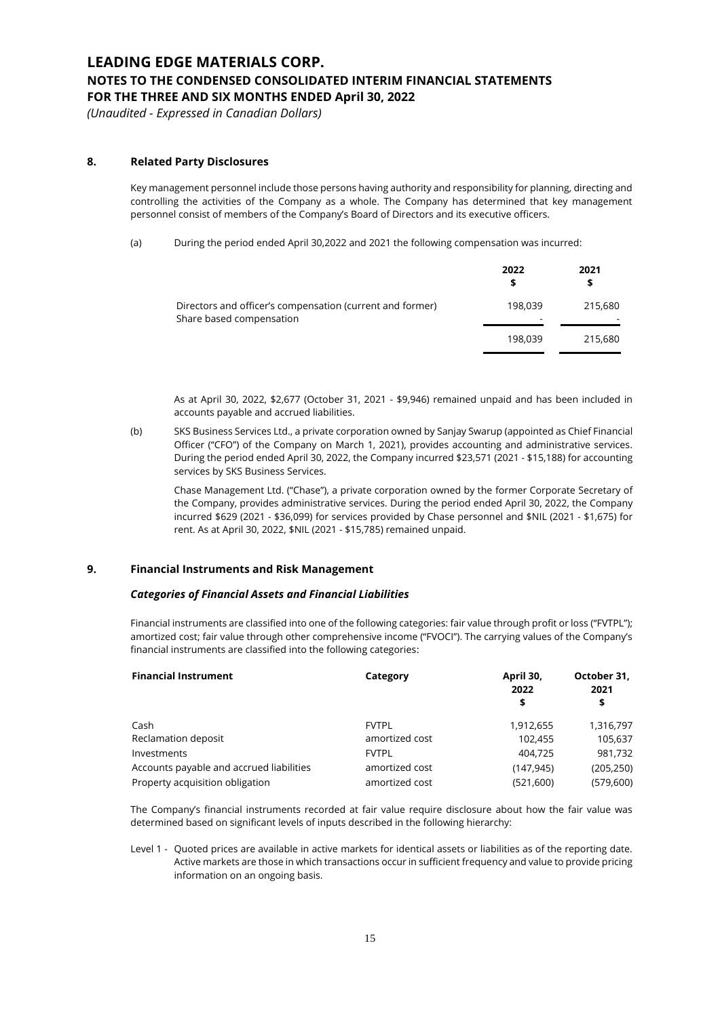*(Unaudited - Expressed in Canadian Dollars)*

### **8. Related Party Disclosures**

Key management personnel include those persons having authority and responsibility for planning, directing and controlling the activities of the Company as a whole. The Company has determined that key management personnel consist of members of the Company's Board of Directors and its executive officers.

(a) During the period ended April 30,2022 and 2021 the following compensation was incurred:

|                                                                                       | 2022         | 2021    |
|---------------------------------------------------------------------------------------|--------------|---------|
| Directors and officer's compensation (current and former)<br>Share based compensation | 198.039<br>- | 215,680 |
|                                                                                       | 198.039      | 215,680 |

As at April 30, 2022, \$2,677 (October 31, 2021 - \$9,946) remained unpaid and has been included in accounts payable and accrued liabilities.

(b) SKS Business Services Ltd., a private corporation owned by Sanjay Swarup (appointed as Chief Financial Officer ("CFO") of the Company on March 1, 2021), provides accounting and administrative services. During the period ended April 30, 2022, the Company incurred \$23,571 (2021 - \$15,188) for accounting services by SKS Business Services.

Chase Management Ltd. ("Chase"), a private corporation owned by the former Corporate Secretary of the Company, provides administrative services. During the period ended April 30, 2022, the Company incurred \$629 (2021 - \$36,099) for services provided by Chase personnel and \$NIL (2021 - \$1,675) for rent. As at April 30, 2022, \$NIL (2021 - \$15,785) remained unpaid.

#### **9. Financial Instruments and Risk Management**

#### *Categories of Financial Assets and Financial Liabilities*

Financial instruments are classified into one of the following categories: fair value through profit or loss ("FVTPL"); amortized cost; fair value through other comprehensive income ("FVOCI"). The carrying values of the Company's financial instruments are classified into the following categories:

| <b>Financial Instrument</b>              | Category       | April 30,<br>2022<br>\$ | October 31,<br>2021<br>\$ |
|------------------------------------------|----------------|-------------------------|---------------------------|
| Cash                                     | <b>FVTPL</b>   | 1,912,655               | 1,316,797                 |
| Reclamation deposit                      | amortized cost | 102,455                 | 105,637                   |
| Investments                              | <b>FVTPL</b>   | 404,725                 | 981,732                   |
| Accounts payable and accrued liabilities | amortized cost | (147, 945)              | (205, 250)                |
| Property acquisition obligation          | amortized cost | (521,600)               | (579,600)                 |

The Company's financial instruments recorded at fair value require disclosure about how the fair value was determined based on significant levels of inputs described in the following hierarchy:

Level 1 - Quoted prices are available in active markets for identical assets or liabilities as of the reporting date. Active markets are those in which transactions occur in sufficient frequency and value to provide pricing information on an ongoing basis.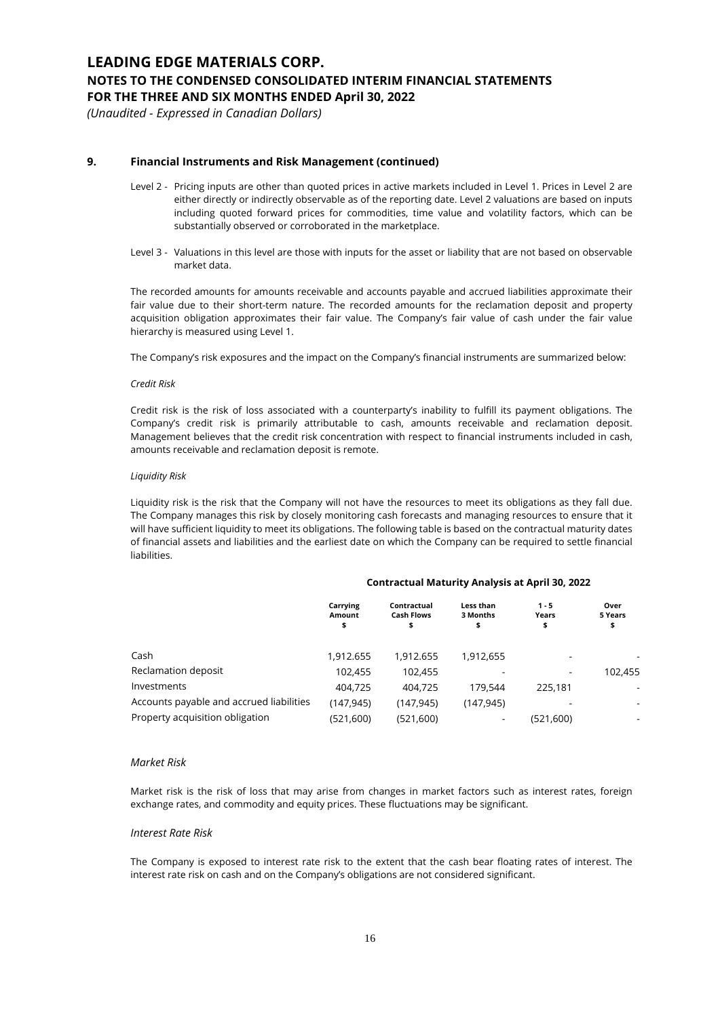### **NOTES TO THE CONDENSED CONSOLIDATED INTERIM FINANCIAL STATEMENTS**

**FOR THE THREE AND SIX MONTHS ENDED April 30, 2022**

*(Unaudited - Expressed in Canadian Dollars)*

#### **9. Financial Instruments and Risk Management (continued)**

- Level 2 Pricing inputs are other than quoted prices in active markets included in Level 1. Prices in Level 2 are either directly or indirectly observable as of the reporting date. Level 2 valuations are based on inputs including quoted forward prices for commodities, time value and volatility factors, which can be substantially observed or corroborated in the marketplace.
- Level 3 Valuations in this level are those with inputs for the asset or liability that are not based on observable market data.

The recorded amounts for amounts receivable and accounts payable and accrued liabilities approximate their fair value due to their short-term nature. The recorded amounts for the reclamation deposit and property acquisition obligation approximates their fair value. The Company's fair value of cash under the fair value hierarchy is measured using Level 1.

The Company's risk exposures and the impact on the Company's financial instruments are summarized below:

#### *Credit Risk*

Credit risk is the risk of loss associated with a counterparty's inability to fulfill its payment obligations. The Company's credit risk is primarily attributable to cash, amounts receivable and reclamation deposit. Management believes that the credit risk concentration with respect to financial instruments included in cash, amounts receivable and reclamation deposit is remote.

#### *Liquidity Risk*

Liquidity risk is the risk that the Company will not have the resources to meet its obligations as they fall due. The Company manages this risk by closely monitoring cash forecasts and managing resources to ensure that it will have sufficient liquidity to meet its obligations. The following table is based on the contractual maturity dates of financial assets and liabilities and the earliest date on which the Company can be required to settle financial liabilities.

#### **Contractual Maturity Analysis at April 30, 2022**

|                                          | Carrying<br>Amount<br>\$ | Contractual<br><b>Cash Flows</b><br>\$ | Less than<br>3 Months<br>\$ | $1 - 5$<br>Years<br>\$ | Over<br>5 Years<br>\$    |
|------------------------------------------|--------------------------|----------------------------------------|-----------------------------|------------------------|--------------------------|
| Cash                                     | 1,912.655                | 1.912.655                              | 1,912,655                   | ۰                      |                          |
| Reclamation deposit                      | 102.455                  | 102.455                                |                             | ۰                      | 102.455                  |
| Investments                              | 404,725                  | 404.725                                | 179.544                     | 225.181                | $\overline{\phantom{a}}$ |
| Accounts payable and accrued liabilities | (147.945)                | (147.945)                              | (147, 945)                  |                        |                          |
| Property acquisition obligation          | (521,600)                | (521,600)                              |                             | (521.600)              |                          |

#### *Market Risk*

Market risk is the risk of loss that may arise from changes in market factors such as interest rates, foreign exchange rates, and commodity and equity prices. These fluctuations may be significant.

#### *Interest Rate Risk*

The Company is exposed to interest rate risk to the extent that the cash bear floating rates of interest. The interest rate risk on cash and on the Company's obligations are not considered significant.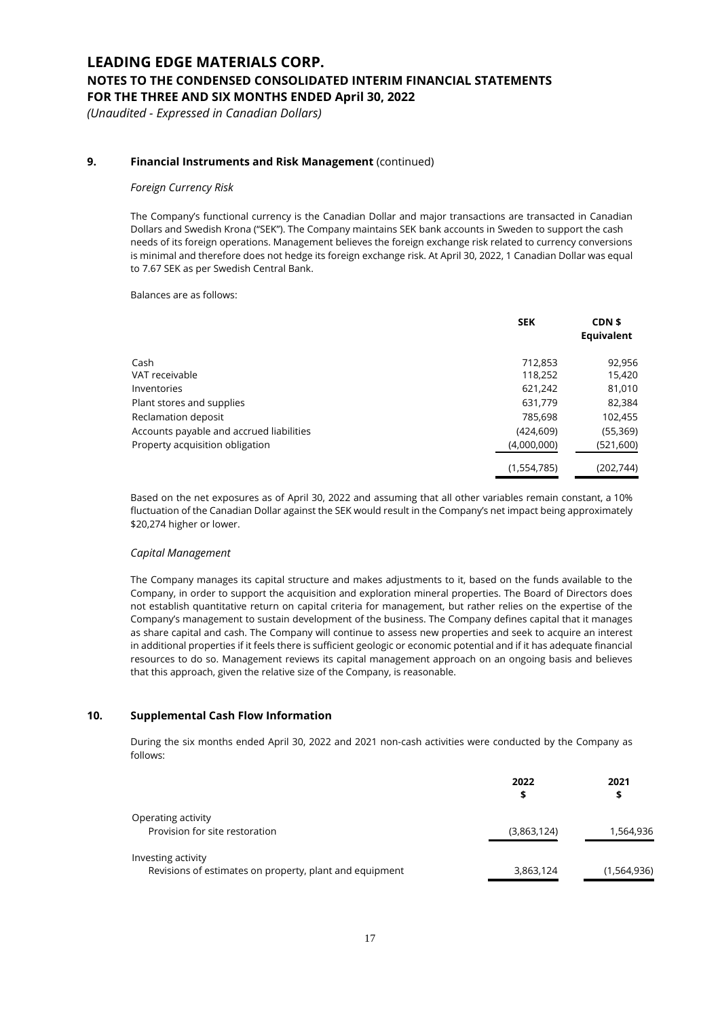*(Unaudited - Expressed in Canadian Dollars)*

### **9. Financial Instruments and Risk Management** (continued)

#### *Foreign Currency Risk*

The Company's functional currency is the Canadian Dollar and major transactions are transacted in Canadian Dollars and Swedish Krona ("SEK"). The Company maintains SEK bank accounts in Sweden to support the cash needs of its foreign operations. Management believes the foreign exchange risk related to currency conversions is minimal and therefore does not hedge its foreign exchange risk. At April 30, 2022, 1 Canadian Dollar was equal to 7.67 SEK as per Swedish Central Bank.

Balances are as follows:

|                                          | <b>SEK</b>  | CDN \$<br>Equivalent |
|------------------------------------------|-------------|----------------------|
| Cash                                     | 712,853     | 92,956               |
| VAT receivable                           | 118,252     | 15,420               |
| Inventories                              | 621,242     | 81,010               |
| Plant stores and supplies                | 631,779     | 82,384               |
| Reclamation deposit                      | 785,698     | 102,455              |
| Accounts payable and accrued liabilities | (424, 609)  | (55, 369)            |
| Property acquisition obligation          | (4,000,000) | (521,600)            |
|                                          | (1,554,785) | (202, 744)           |

Based on the net exposures as of April 30, 2022 and assuming that all other variables remain constant, a 10% fluctuation of the Canadian Dollar against the SEK would result in the Company's net impact being approximately \$20,274 higher or lower.

#### *Capital Management*

The Company manages its capital structure and makes adjustments to it, based on the funds available to the Company, in order to support the acquisition and exploration mineral properties. The Board of Directors does not establish quantitative return on capital criteria for management, but rather relies on the expertise of the Company's management to sustain development of the business. The Company defines capital that it manages as share capital and cash. The Company will continue to assess new properties and seek to acquire an interest in additional properties if it feels there is sufficient geologic or economic potential and if it has adequate financial resources to do so. Management reviews its capital management approach on an ongoing basis and believes that this approach, given the relative size of the Company, is reasonable.

#### **10. Supplemental Cash Flow Information**

During the six months ended April 30, 2022 and 2021 non-cash activities were conducted by the Company as follows:

| 2022        | 2021        |  |
|-------------|-------------|--|
| s           | \$          |  |
|             |             |  |
| (3,863,124) | 1,564,936   |  |
|             |             |  |
| 3,863,124   | (1,564,936) |  |
|             |             |  |